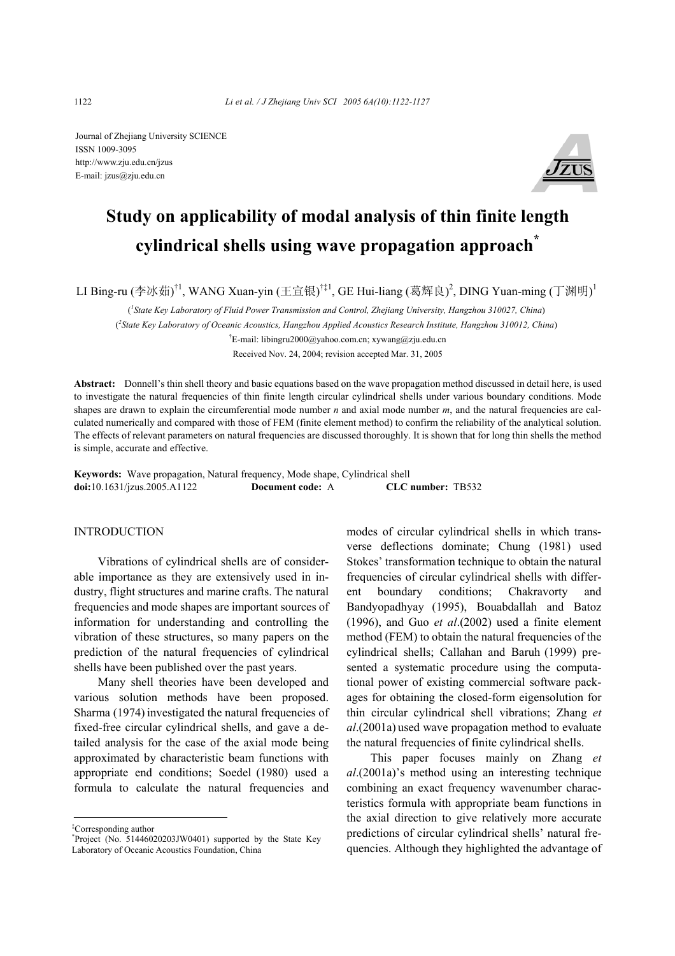Journal of Zhejiang University SCIENCE ISSN 1009-3095 http://www.zju.edu.cn/jzus E-mail: jzus@zju.edu.cn



# **Study on applicability of modal analysis of thin finite length cylindrical shells using wave propagation approach\***

LI Bing-ru (李冰茹)<sup>†1</sup>, WANG Xuan-yin (王宣银)<sup>†‡1</sup>, GE Hui-liang (葛辉良)<sup>2</sup>, DING Yuan-ming (丁渊明)<sup>1</sup>

( *1 State Key Laboratory of Fluid Power Transmission and Control, Zhejiang University, Hangzhou 310027, China*)

( *2 State Key Laboratory of Oceanic Acoustics, Hangzhou Applied Acoustics Research Institute, Hangzhou 310012, China*)

† E-mail: libingru2000@yahoo.com.cn; xywang@zju.edu.cn Received Nov. 24, 2004; revision accepted Mar. 31, 2005

**Abstract:** Donnell's thin shell theory and basic equations based on the wave propagation method discussed in detail here, is used to investigate the natural frequencies of thin finite length circular cylindrical shells under various boundary conditions. Mode shapes are drawn to explain the circumferential mode number *n* and axial mode number *m*, and the natural frequencies are calculated numerically and compared with those of FEM (finite element method) to confirm the reliability of the analytical solution. The effects of relevant parameters on natural frequencies are discussed thoroughly. It is shown that for long thin shells the method is simple, accurate and effective.

**Keywords:** Wave propagation, Natural frequency, Mode shape, Cylindrical shell **doi:**10.1631/jzus.2005.A1122 **Document code:** A **CLC number:** TB532

### INTRODUCTION

Vibrations of cylindrical shells are of considerable importance as they are extensively used in industry, flight structures and marine crafts. The natural frequencies and mode shapes are important sources of information for understanding and controlling the vibration of these structures, so many papers on the prediction of the natural frequencies of cylindrical shells have been published over the past years.

Many shell theories have been developed and various solution methods have been proposed. Sharma (1974) investigated the natural frequencies of fixed-free circular cylindrical shells, and gave a detailed analysis for the case of the axial mode being approximated by characteristic beam functions with appropriate end conditions; Soedel (1980) used a formula to calculate the natural frequencies and modes of circular cylindrical shells in which transverse deflections dominate; Chung (1981) used Stokes' transformation technique to obtain the natural frequencies of circular cylindrical shells with different boundary conditions; Chakravorty and Bandyopadhyay (1995), Bouabdallah and Batoz (1996), and Guo *et al*.(2002) used a finite element method (FEM) to obtain the natural frequencies of the cylindrical shells; Callahan and Baruh (1999) presented a systematic procedure using the computational power of existing commercial software packages for obtaining the closed-form eigensolution for thin circular cylindrical shell vibrations; Zhang *et al*.(2001a) used wave propagation method to evaluate the natural frequencies of finite cylindrical shells.

This paper focuses mainly on Zhang *et al*.(2001a)'s method using an interesting technique combining an exact frequency wavenumber characteristics formula with appropriate beam functions in the axial direction to give relatively more accurate predictions of circular cylindrical shells' natural frequencies. Although they highlighted the advantage of

<sup>‡</sup> Corresponding author

<sup>\*</sup> Project (No. 51446020203JW0401) supported by the State Key Laboratory of Oceanic Acoustics Foundation, China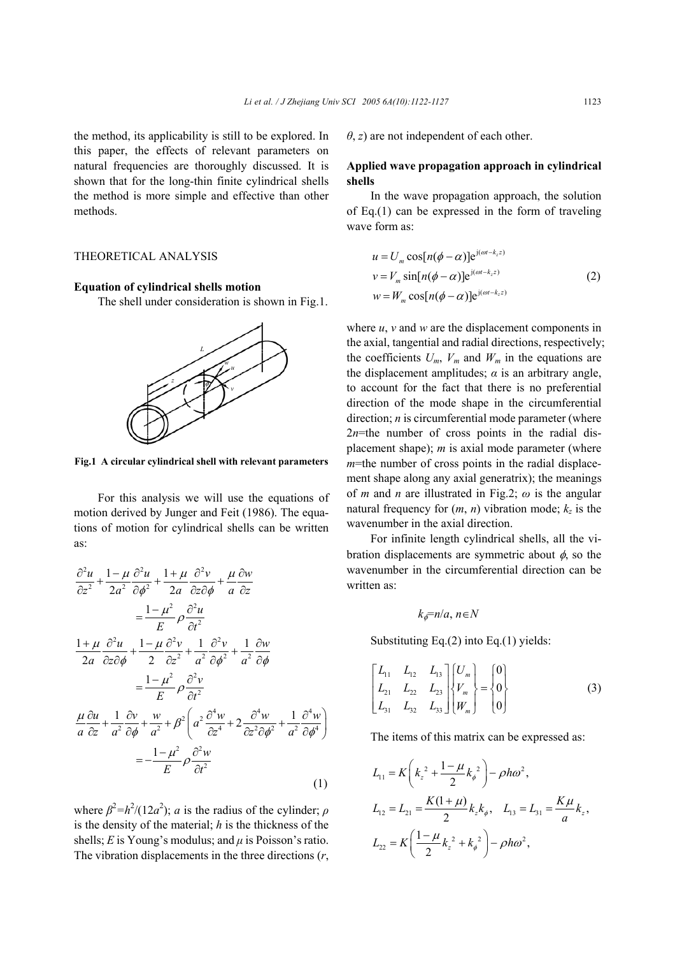the method, its applicability is still to be explored. In this paper, the effects of relevant parameters on natural frequencies are thoroughly discussed. It is shown that for the long-thin finite cylindrical shells the method is more simple and effective than other methods.

# THEORETICAL ANALYSIS

#### **Equation of cylindrical shells motion**

The shell under consideration is shown in Fig.1.



**Fig.1 A circular cylindrical shell with relevant parameters**

For this analysis we will use the equations of motion derived by Junger and Feit (1986). The equations of motion for cylindrical shells can be written as:

$$
\frac{\partial^2 u}{\partial z^2} + \frac{1 - \mu}{2a^2} \frac{\partial^2 u}{\partial \phi^2} + \frac{1 + \mu}{2a} \frac{\partial^2 v}{\partial z \partial \phi} + \frac{\mu}{a} \frac{\partial w}{\partial z}
$$
\n
$$
= \frac{1 - \mu^2}{E} \rho \frac{\partial^2 u}{\partial t^2}
$$
\n
$$
\frac{1 + \mu}{2a} \frac{\partial^2 u}{\partial z \partial \phi} + \frac{1 - \mu}{2} \frac{\partial^2 v}{\partial z^2} + \frac{1}{a^2} \frac{\partial^2 v}{\partial \phi^2} + \frac{1}{a^2} \frac{\partial w}{\partial \phi}
$$
\n
$$
= \frac{1 - \mu^2}{E} \rho \frac{\partial^2 v}{\partial t^2}
$$
\n
$$
\frac{\mu}{a} \frac{\partial u}{\partial z} + \frac{1}{a^2} \frac{\partial v}{\partial \phi} + \frac{w}{a^2} + \beta^2 \left( a^2 \frac{\partial^4 w}{\partial z^4} + 2 \frac{\partial^4 w}{\partial z^2 \partial \phi^2} + \frac{1}{a^2} \frac{\partial^4 w}{\partial \phi^4} \right)
$$
\n
$$
= -\frac{1 - \mu^2}{E} \rho \frac{\partial^2 w}{\partial t^2}
$$
\n(1)

where  $\beta^2 = h^2/(12a^2)$ ; *a* is the radius of the cylinder; *ρ* is the density of the material; *h* is the thickness of the shells;  $E$  is Young's modulus; and  $\mu$  is Poisson's ratio. The vibration displacements in the three directions (*r*, *θ*, *z*) are not independent of each other.

## **Applied wave propagation approach in cylindrical shells**

In the wave propagation approach, the solution of Eq.(1) can be expressed in the form of traveling wave form as:

$$
u = U_m \cos[n(\phi - \alpha)]e^{j(\omega t - k_z z)}
$$
  
\n
$$
v = V_m \sin[n(\phi - \alpha)]e^{j(\omega t - k_z z)}
$$
  
\n
$$
w = W_m \cos[n(\phi - \alpha)]e^{j(\omega t - k_z z)}
$$
\n(2)

where  $u$ ,  $v$  and  $w$  are the displacement components in the axial, tangential and radial directions, respectively; the coefficients  $U_m$ ,  $V_m$  and  $W_m$  in the equations are the displacement amplitudes;  $\alpha$  is an arbitrary angle, to account for the fact that there is no preferential direction of the mode shape in the circumferential direction; *n* is circumferential mode parameter (where  $2n$ =the number of cross points in the radial displacement shape); *m* is axial mode parameter (where *m*=the number of cross points in the radial displacement shape along any axial generatrix); the meanings of *m* and *n* are illustrated in Fig.2; *ω* is the angular natural frequency for  $(m, n)$  vibration mode;  $k_z$  is the wavenumber in the axial direction.

For infinite length cylindrical shells, all the vibration displacements are symmetric about  $\phi$ , so the wavenumber in the circumferential direction can be written as:

$$
k_{\phi} = n/a, n \in N
$$

Substituting Eq.(2) into Eq.(1) yields:

$$
\begin{bmatrix} L_{11} & L_{12} & L_{13} \\ L_{21} & L_{22} & L_{23} \\ L_{31} & L_{32} & L_{33} \end{bmatrix} \begin{bmatrix} U_m \\ V_m \\ W_m \end{bmatrix} = \begin{Bmatrix} 0 \\ 0 \\ 0 \end{Bmatrix}
$$
 (3)

The items of this matrix can be expressed as:

$$
L_{11} = K\left(k_z^2 + \frac{1-\mu}{2}k_\phi^2\right) - \rho h \omega^2,
$$
  
\n
$$
L_{12} = L_{21} = \frac{K(1+\mu)}{2}k_z k_\phi, \quad L_{13} = L_{31} = \frac{K\mu}{a}k_z,
$$
  
\n
$$
L_{22} = K\left(\frac{1-\mu}{2}k_z^2 + k_\phi^2\right) - \rho h \omega^2,
$$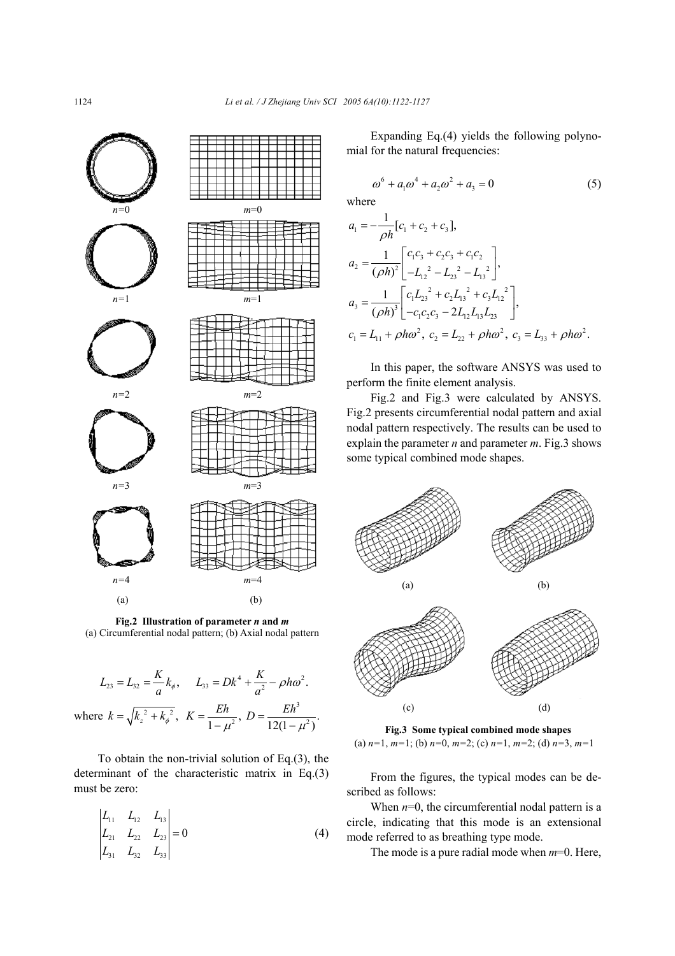

**Fig.2 Illustration of parameter** *n* **and** *m* (a) Circumferential nodal pattern; (b) Axial nodal pattern

$$
L_{23} = L_{32} = \frac{K}{a}k_{\phi}, \qquad L_{33} = Dk^4 + \frac{K}{a^2} - \rho h \omega^2.
$$
  
where  $k = \sqrt{k_z^2 + k_{\phi}^2}$ ,  $K = \frac{Eh}{1 - \mu^2}$ ,  $D = \frac{Eh^3}{12(1 - \mu^2)}$ .

To obtain the non-trivial solution of Eq.(3), the determinant of the characteristic matrix in Eq.(3) must be zero:

$$
\begin{vmatrix} L_{11} & L_{12} & L_{13} \\ L_{21} & L_{22} & L_{23} \\ L_{31} & L_{32} & L_{33} \end{vmatrix} = 0
$$
 (4)

Expanding Eq.(4) yields the following polynomial for the natural frequencies:

$$
\omega^6 + a_1 \omega^4 + a_2 \omega^2 + a_3 = 0 \tag{5}
$$

where

$$
a_1 = -\frac{1}{\rho h} [c_1 + c_2 + c_3],
$$
  
\n
$$
a_2 = \frac{1}{(\rho h)^2} \begin{bmatrix} c_1 c_3 + c_2 c_3 + c_1 c_2 \\ -L_{12}^2 - L_{23}^2 - L_{13}^2 \end{bmatrix},
$$
  
\n
$$
a_3 = \frac{1}{(\rho h)^3} \begin{bmatrix} c_1 L_{23}^2 + c_2 L_{13}^2 + c_3 L_{12}^2 \\ -c_1 c_2 c_3 - 2L_{12} L_{13} L_{23} \end{bmatrix},
$$
  
\n
$$
c_1 = L_{11} + \rho h \omega^2, \ c_2 = L_{22} + \rho h \omega^2, \ c_3 = L_{33} + \rho h \omega^2.
$$

In this paper, the software ANSYS was used to perform the finite element analysis.

Fig.2 and Fig.3 were calculated by ANSYS. Fig.2 presents circumferential nodal pattern and axial nodal pattern respectively. The results can be used to explain the parameter *n* and parameter *m*. Fig.3 shows some typical combined mode shapes.



**Fig.3 Some typical combined mode shapes**  (a) *n=*1, *m=*1; (b) *n=*0, *m=*2; (c) *n=*1, *m=*2; (d) *n=*3, *m=*1

From the figures, the typical modes can be described as follows:

When  $n=0$ , the circumferential nodal pattern is a circle, indicating that this mode is an extensional mode referred to as breathing type mode.

The mode is a pure radial mode when *m*=0. Here,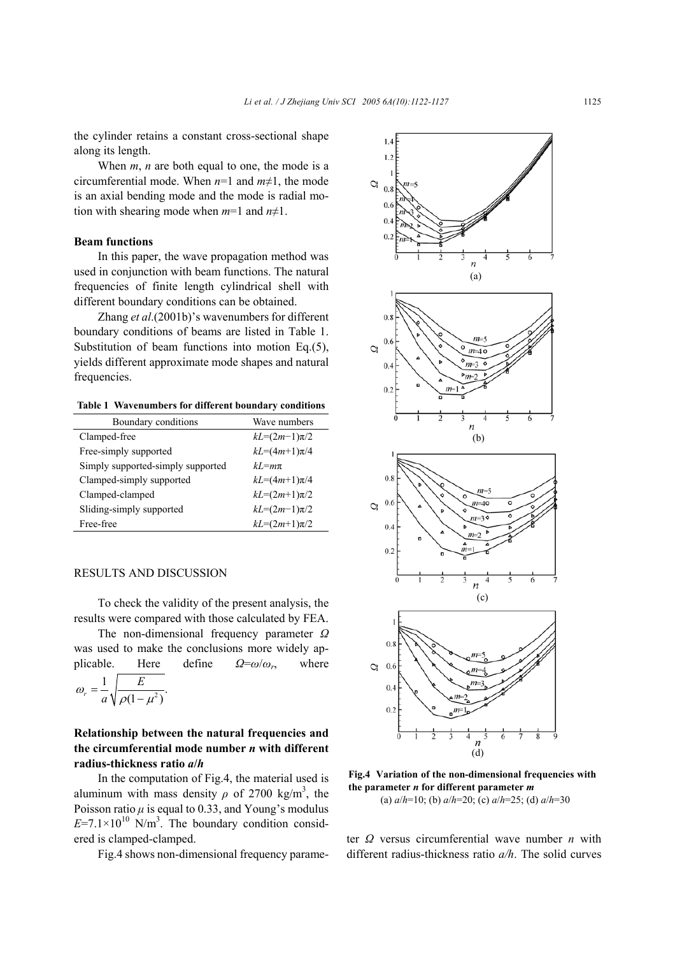the cylinder retains a constant cross-sectional shape along its length.

When *m*, *n* are both equal to one, the mode is a circumferential mode. When  $n=1$  and  $m\neq 1$ , the mode is an axial bending mode and the mode is radial motion with shearing mode when  $m=1$  and  $n\neq 1$ .

## **Beam functions**

In this paper, the wave propagation method was used in conjunction with beam functions. The natural frequencies of finite length cylindrical shell with different boundary conditions can be obtained.

Zhang *et al*.(2001b)'s wavenumbers for different boundary conditions of beams are listed in Table 1. Substitution of beam functions into motion Eq.(5), yields different approximate mode shapes and natural frequencies.

**Table 1 Wavenumbers for different boundary conditions** 

| Boundary conditions               | Wave numbers       |
|-----------------------------------|--------------------|
| Clamped-free                      | $kL = (2m-1)\pi/2$ |
| Free-simply supported             | $kL = (4m+1)\pi/4$ |
| Simply supported-simply supported | $kI = m\pi$        |
| Clamped-simply supported          | $kL = (4m+1)\pi/4$ |
| Clamped-clamped                   | $kL = (2m+1)\pi/2$ |
| Sliding-simply supported          | $kL = (2m-1)\pi/2$ |
| Free-free                         | $kL = (2m+1)\pi/2$ |

#### RESULTS AND DISCUSSION

To check the validity of the present analysis, the results were compared with those calculated by FEA.

The non-dimensional frequency parameter *Ω* was used to make the conclusions more widely applicable. Here define *Ω*=*ω*/*ωr*, where

$$
\omega_r = \frac{1}{a} \sqrt{\frac{E}{\rho(1 - \mu^2)}}.
$$

# **Relationship between the natural frequencies and the circumferential mode number** *n* **with different radius-thickness ratio** *a***/***h*

In the computation of Fig.4, the material used is aluminum with mass density  $\rho$  of 2700 kg/m<sup>3</sup>, the Poisson ratio  $\mu$  is equal to 0.33, and Young's modulus  $E=7.1\times10^{10}$  N/m<sup>3</sup>. The boundary condition considered is clamped-clamped.

Fig.4 shows non-dimensional frequency parame-



**Fig.4 Variation of the non-dimensional frequencies with the parameter** *n* **for different parameter** *m* (a) *a*/*h*=10; (b) *a*/*h*=20; (c) *a*/*h*=25; (d) *a*/*h*=30

ter *Ω* versus circumferential wave number *n* with different radius-thickness ratio *a/h*. The solid curves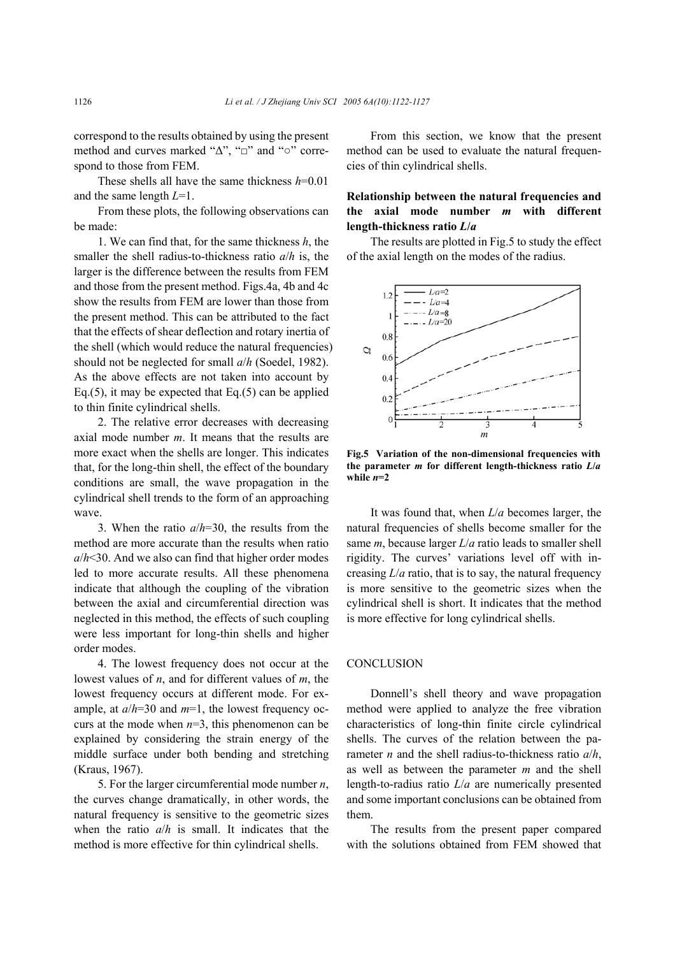correspond to the results obtained by using the present method and curves marked "∆", "□" and "○" correspond to those from FEM.

These shells all have the same thickness *h*=0.01 and the same length *L*=1.

From these plots, the following observations can be made:

1. We can find that, for the same thickness *h*, the smaller the shell radius-to-thickness ratio *a*/*h* is, the larger is the difference between the results from FEM and those from the present method. Figs.4a, 4b and 4c show the results from FEM are lower than those from the present method. This can be attributed to the fact that the effects of shear deflection and rotary inertia of the shell (which would reduce the natural frequencies) should not be neglected for small *a*/*h* (Soedel, 1982). As the above effects are not taken into account by Eq.(5), it may be expected that Eq.(5) can be applied to thin finite cylindrical shells.

2. The relative error decreases with decreasing axial mode number *m*. It means that the results are more exact when the shells are longer. This indicates that, for the long-thin shell, the effect of the boundary conditions are small, the wave propagation in the cylindrical shell trends to the form of an approaching wave.

3. When the ratio *a*/*h*=30, the results from the method are more accurate than the results when ratio *a*/*h*<30. And we also can find that higher order modes led to more accurate results. All these phenomena indicate that although the coupling of the vibration between the axial and circumferential direction was neglected in this method, the effects of such coupling were less important for long-thin shells and higher order modes.

4. The lowest frequency does not occur at the lowest values of *n*, and for different values of *m*, the lowest frequency occurs at different mode. For example, at *a*/*h*=30 and *m*=1, the lowest frequency occurs at the mode when  $n=3$ , this phenomenon can be explained by considering the strain energy of the middle surface under both bending and stretching (Kraus, 1967).

5. For the larger circumferential mode number *n*, the curves change dramatically, in other words, the natural frequency is sensitive to the geometric sizes when the ratio *a*/*h* is small. It indicates that the method is more effective for thin cylindrical shells.

From this section, we know that the present method can be used to evaluate the natural frequencies of thin cylindrical shells.

# **Relationship between the natural frequencies and the axial mode number** *m* **with different length-thickness ratio** *L***/***a*

The results are plotted in Fig.5 to study the effect of the axial length on the modes of the radius.



**Fig.5 Variation of the non-dimensional frequencies with the parameter** *m* **for different length-thickness ratio** *L***/***a*  while  $n=2$ 

It was found that, when *L*/*a* becomes larger, the natural frequencies of shells become smaller for the same *m*, because larger *L*/*a* ratio leads to smaller shell rigidity. The curves' variations level off with increasing *L*/*a* ratio, that is to say, the natural frequency is more sensitive to the geometric sizes when the cylindrical shell is short. It indicates that the method is more effective for long cylindrical shells.

## **CONCLUSION**

Donnell's shell theory and wave propagation method were applied to analyze the free vibration characteristics of long-thin finite circle cylindrical shells. The curves of the relation between the parameter *n* and the shell radius-to-thickness ratio *a*/*h*, as well as between the parameter *m* and the shell length-to-radius ratio *L*/*a* are numerically presented and some important conclusions can be obtained from them.

The results from the present paper compared with the solutions obtained from FEM showed that